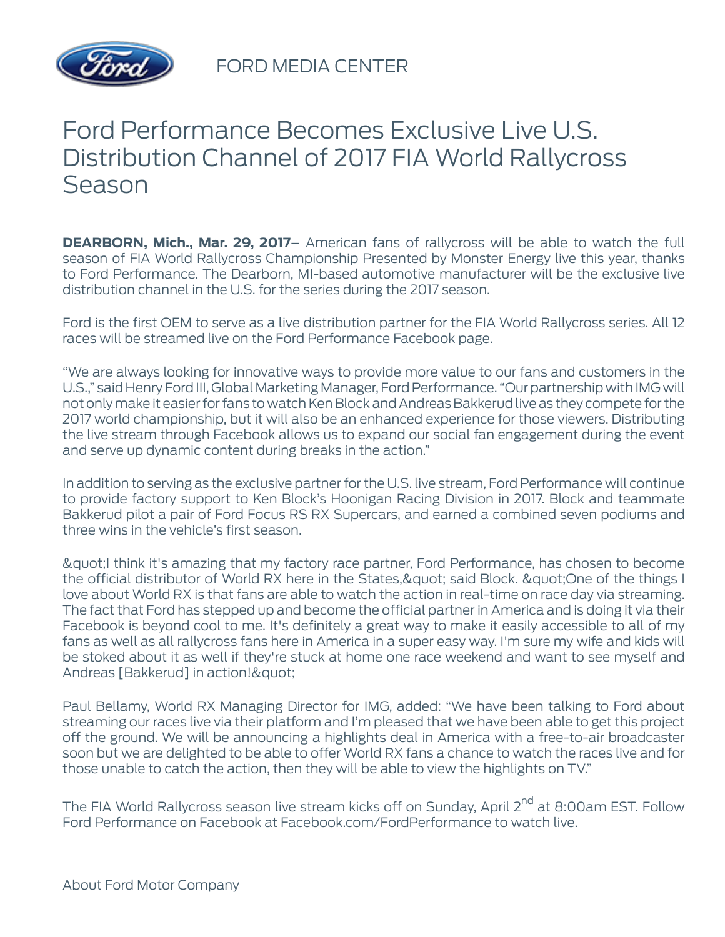

FORD MEDIA CENTER

## Ford Performance Becomes Exclusive Live U.S. Distribution Channel of 2017 FIA World Rallycross Season

**DEARBORN, Mich., Mar. 29, 2017**– American fans of rallycross will be able to watch the full season of FIA World Rallycross Championship Presented by Monster Energy live this year, thanks to Ford Performance. The Dearborn, MI-based automotive manufacturer will be the exclusive live distribution channel in the U.S. for the series during the 2017 season.

Ford is the first OEM to serve as a live distribution partner for the FIA World Rallycross series. All 12 races will be streamed live on the Ford Performance Facebook page.

"We are always looking for innovative ways to provide more value to our fans and customers in the U.S.," said Henry Ford III, Global Marketing Manager, Ford Performance. "Our partnership with IMG will not only make it easier for fans to watch Ken Block and Andreas Bakkerud live as they compete for the 2017 world championship, but it will also be an enhanced experience for those viewers. Distributing the live stream through Facebook allows us to expand our social fan engagement during the event and serve up dynamic content during breaks in the action."

In addition to serving as the exclusive partner for the U.S. live stream, Ford Performance will continue to provide factory support to Ken Block's Hoonigan Racing Division in 2017. Block and teammate Bakkerud pilot a pair of Ford Focus RS RX Supercars, and earned a combined seven podiums and three wins in the vehicle's first season.

"I think it's amazing that my factory race partner, Ford Performance, has chosen to become the official distributor of World RX here in the States, & quot; said Block. & quot; One of the things I love about World RX is that fans are able to watch the action in real-time on race day via streaming. The fact that Ford has stepped up and become the official partner in America and is doing it via their Facebook is beyond cool to me. It's definitely a great way to make it easily accessible to all of my fans as well as all rallycross fans here in America in a super easy way. I'm sure my wife and kids will be stoked about it as well if they're stuck at home one race weekend and want to see myself and Andreas [Bakkerud] in action! & quot;

Paul Bellamy, World RX Managing Director for IMG, added: "We have been talking to Ford about streaming our races live via their platform and I'm pleased that we have been able to get this project off the ground. We will be announcing a highlights deal in America with a free-to-air broadcaster soon but we are delighted to be able to offer World RX fans a chance to watch the races live and for those unable to catch the action, then they will be able to view the highlights on TV."

The FIA World Rallycross season live stream kicks off on Sunday, April 2<sup>nd</sup> at 8:00am EST. Follow Ford Performance on Facebook at Facebook.com/FordPerformance to watch live.